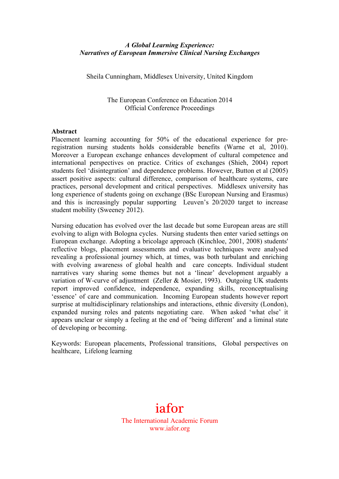### *A Global Learning Experience: Narratives of European Immersive Clinical Nursing Exchanges*

Sheila Cunningham, Middlesex University, United Kingdom

The European Conference on Education 2014 Official Conference Proceedings

#### **Abstract**

Placement learning accounting for 50% of the educational experience for preregistration nursing students holds considerable benefits (Warne et al, 2010). Moreover a European exchange enhances development of cultural competence and international perspectives on practice. Critics of exchanges (Shieh, 2004) report students feel 'disintegration' and dependence problems. However, Button et al (2005) assert positive aspects: cultural difference, comparison of healthcare systems, care practices, personal development and critical perspectives. Middlesex university has long experience of students going on exchange (BSc European Nursing and Erasmus) and this is increasingly popular supporting Leuven's 20/2020 target to increase student mobility (Sweeney 2012).

Nursing education has evolved over the last decade but some European areas are still evolving to align with Bologna cycles. Nursing students then enter varied settings on European exchange. Adopting a bricolage approach (Kinchloe, 2001, 2008) students' reflective blogs, placement assessments and evaluative techniques were analysed revealing a professional journey which, at times, was both turbulant and enriching with evolving awareness of global health and care concepts. Individual student narratives vary sharing some themes but not a 'linear' development arguably a variation of W-curve of adjustment (Zeller & Mosier, 1993). Outgoing UK students report improved confidence, independence, expanding skills, reconceptualising 'essence' of care and communication. Incoming European students however report surprise at multidisciplinary relationships and interactions, ethnic diversity (London), expanded nursing roles and patents negotiating care. When asked 'what else' it appears unclear or simply a feeling at the end of 'being different' and a liminal state of developing or becoming.

Keywords: European placements, Professional transitions, Global perspectives on healthcare, Lifelong learning

# iafor

The International Academic Forum www.iafor.org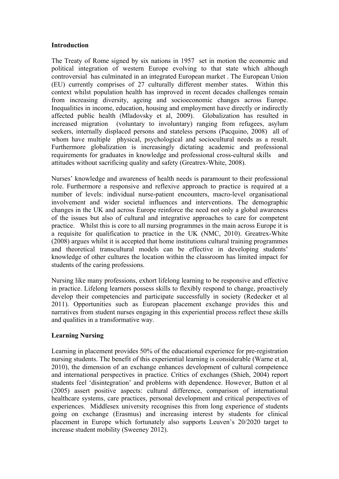#### **Introduction**

The Treaty of Rome signed by six nations in 1957 set in motion the economic and political integration of western Europe evolving to that state which although controversial has culminated in an integrated European market . The European Union (EU) currently comprises of 27 culturally different member states. Within this context whilst population health has improved in recent decades challenges remain from increasing diversity, ageing and socioeconomic changes across Europe. Inequalities in income, education, housing and employment have directly or indirectly affected public health (Mladovsky et al, 2009). Globalization has resulted in increased migration (voluntary to involuntary) ranging from refugees, asylum seekers, internally displaced persons and stateless persons (Pacquino, 2008) all of whom have multiple physical, psychological and sociocultural needs as a result. Furthermore globalization is increasingly dictating academic and professional requirements for graduates in knowledge and professional cross-cultural skills and attitudes without sacrificing quality and safety (Greatrex-White, 2008).

Nurses' knowledge and awareness of health needs is paramount to their professional role. Furthermore a responsive and reflexive approach to practice is required at a number of levels: individual nurse-patient encounters, macro-level organisational involvement and wider societal influences and interventions. The demographic changes in the UK and across Europe reinforce the need not only a global awareness of the issues but also of cultural and integrative approaches to care for competent practice. Whilst this is core to all nursing programmes in the main across Europe it is a requisite for qualification to practice in the UK (NMC, 2010). Greatrex-White (2008) argues whilst it is accepted that home institutions cultural training programmes and theoretical transcultural models can be effective in developing students' knowledge of other cultures the location within the classroom has limited impact for students of the caring professions.

Nursing like many professions, exhort lifelong learning to be responsive and effective in practice. Lifelong learners possess skills to flexibly respond to change, proactively develop their competencies and participate successfully in society (Redecker et al 2011). Opportunities such as European placement exchange provides this and narratives from student nurses engaging in this experiential process reflect these skills and qualities in a transformative way.

## **Learning Nursing**

Learning in placement provides 50% of the educational experience for pre-registration nursing students. The benefit of this experiential learning is considerable (Warne et al, 2010), the dimension of an exchange enhances development of cultural competence and international perspectives in practice. Critics of exchanges (Shieh, 2004) report students feel 'disintegration' and problems with dependence. However, Button et al (2005) assert positive aspects: cultural difference, comparison of international healthcare systems, care practices, personal development and critical perspectives of experiences. Middlesex university recognises this from long experience of students going on exchange (Erasmus) and increasing interest by students for clinical placement in Europe which fortunately also supports Leuven's 20/2020 target to increase student mobility (Sweeney 2012).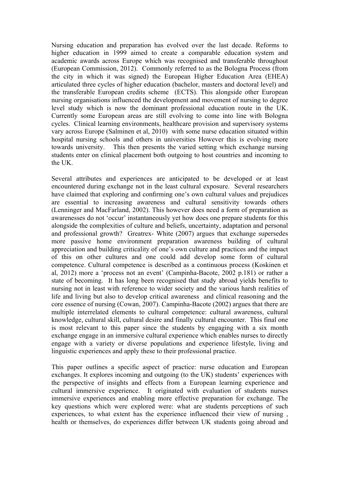Nursing education and preparation has evolved over the last decade. Reforms to higher education in 1999 aimed to create a comparable education system and academic awards across Europe which was recognised and transferable throughout (European Commission, 2012). Commonly referred to as the Bologna Process (from the city in which it was signed) the European Higher Education Area (EHEA) articulated three cycles of higher education (bachelor, masters and doctoral level) and the transferable European credits scheme (ECTS). This alongside other European nursing organisations influenced the development and movement of nursing to degree level study which is now the dominant professional education route in the UK. Currently some European areas are still evolving to come into line with Bologna cycles. Clinical learning environments, healthcare provision and supervisory systems vary across Europe (Salminen et al, 2010) with some nurse education situated within hospital nursing schools and others in universities However this is evolving more towards university. This then presents the varied setting which exchange nursing students enter on clinical placement both outgoing to host countries and incoming to the UK.

Several attributes and experiences are anticipated to be developed or at least encountered during exchange not in the least cultural exposure. Several researchers have claimed that exploring and confirming one's own cultural values and prejudices are essential to increasing awareness and cultural sensitivity towards others (Lenninger and MacFarland, 2002). This however does need a form of preparation as awarenesses do not 'occur' instantaneously yet how does one prepare students for this alongside the complexities of culture and beliefs, uncertainty, adaptation and personal and professional growth? Greatrex- White (2007) argues that exchange supersedes more passive home environment preparation awareness building of cultural appreciation and building criticality of one's own culture and practices and the impact of this on other cultures and one could add develop some form of cultural competence. Cultural competence is described as a continuous process (Koskinen et al, 2012) more a 'process not an event' (Campinha-Bacote, 2002 p.181) or rather a state of becoming. It has long been recognised that study abroad yields benefits to nursing not in least with reference to wider society and the various harsh realities of life and living but also to develop critical awareness and clinical reasoning and the core essence of nursing (Cowan, 2007). Campinha-Bacote (2002) argues that there are multiple interrelated elements to cultural competence: cultural awareness, cultural knowledge, cultural skill, cultural desire and finally cultural encounter. This final one is most relevant to this paper since the students by engaging with a six month exchange engage in an immersive cultural experience which enables nurses to directly engage with a variety or diverse populations and experience lifestyle, living and linguistic experiences and apply these to their professional practice.

This paper outlines a specific aspect of practice: nurse education and European exchanges. It explores incoming and outgoing (to the UK) students' experiences with the perspective of insights and effects from a European learning experience and cultural immersive experience. It originated with evaluation of students nurses immersive experiences and enabling more effective preparation for exchange. The key questions which were explored were: what are students perceptions of such experiences, to what extent has the experience influenced their view of nursing , health or themselves, do experiences differ between UK students going abroad and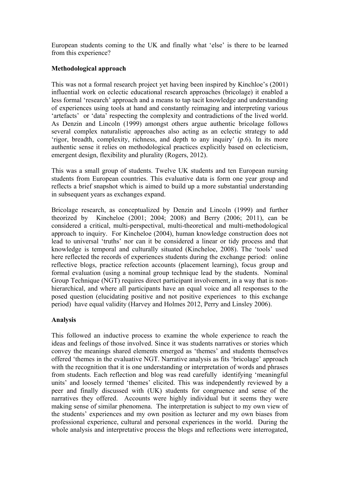European students coming to the UK and finally what 'else' is there to be learned from this experience?

## **Methodological approach**

This was not a formal research project yet having been inspired by Kinchloe's (2001) influential work on eclectic educational research approaches (bricolage) it enabled a less formal 'research' approach and a means to tap tacit knowledge and understanding of experiences using tools at hand and constantly reimaging and interpreting various 'artefacts' or 'data' respecting the complexity and contradictions of the lived world. As Denzin and Lincoln (1999) amongst others argue authentic bricolage follows several complex naturalistic approaches also acting as an eclectic strategy to add 'rigor, breadth, complexity, richness, and depth to any inquiry' (p.6). In its more authentic sense it relies on methodological practices explicitly based on eclecticism, emergent design, flexibility and plurality (Rogers, 2012).

This was a small group of students. Twelve UK students and ten European nursing students from European countries. This evaluative data is form one year group and reflects a brief snapshot which is aimed to build up a more substantial understanding in subsequent years as exchanges expand.

Bricolage research, as conceptualized by Denzin and Lincoln (1999) and further theorized by Kincheloe (2001; 2004; 2008) and Berry (2006; 2011), can be considered a critical, multi-perspectival, multi-theoretical and multi-methodological approach to inquiry. For Kincheloe (2004), human knowledge construction does not lead to universal 'truths' nor can it be considered a linear or tidy process and that knowledge is temporal and culturally situated (Kincheloe, 2008). The 'tools' used here reflected the records of experiences students during the exchange period: online reflective blogs, practice refection accounts (placement learning), focus group and formal evaluation (using a nominal group technique lead by the students. Nominal Group Technique (NGT) requires direct participant involvement, in a way that is nonhierarchical, and where all participants have an equal voice and all responses to the posed question (elucidating positive and not positive experiences to this exchange period) have equal validity (Harvey and Holmes 2012, Perry and Linsley 2006).

## **Analysis**

This followed an inductive process to examine the whole experience to reach the ideas and feelings of those involved. Since it was students narratives or stories which convey the meanings shared elements emerged as 'themes' and students themselves offered 'themes in the evaluative NGT. Narrative analysis as fits 'bricolage' approach with the recognition that it is one understanding or interpretation of words and phrases from students. Each reflection and blog was read carefully identifying 'meaningful units' and loosely termed 'themes' elicited. This was independently reviewed by a peer and finally discussed with (UK) students for congruence and sense of the narratives they offered. Accounts were highly individual but it seems they were making sense of similar phenomena. The interpretation is subject to my own view of the students' experiences and my own position as lecturer and my own biases from professional experience, cultural and personal experiences in the world. During the whole analysis and interpretative process the blogs and reflections were interrogated,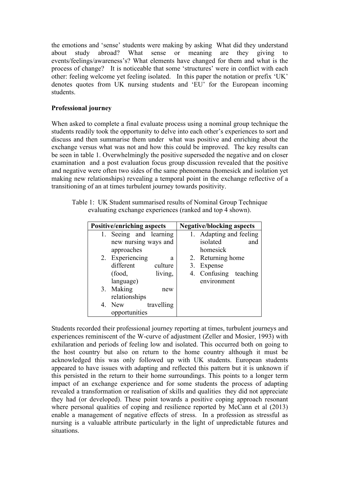the emotions and 'sense' students were making by asking What did they understand about study abroad? What sense or meaning are they giving to events/feelings/awareness's? What elements have changed for them and what is the process of change? It is noticeable that some 'structures' were in conflict with each other: feeling welcome yet feeling isolated. In this paper the notation or prefix 'UK' denotes quotes from UK nursing students and 'EU' for the European incoming students.

## **Professional journey**

When asked to complete a final evaluate process using a nominal group technique the students readily took the opportunity to delve into each other's experiences to sort and discuss and then summarise them under what was positive and enriching about the exchange versus what was not and how this could be improved. The key results can be seen in table 1. Overwhelmingly the positive superseded the negative and on closer examination and a post evaluation focus group discussion revealed that the positive and negative were often two sides of the same phenomena (homesick and isolation yet making new relationships) revealing a temporal point in the exchange reflective of a transitioning of an at times turbulent journey towards positivity.

Table 1: UK Student summarised results of Nominal Group Technique evaluating exchange experiences (ranked and top 4 shown).

| <b>Positive/enriching aspects</b> |                        |            | <b>Negative/blocking aspects</b> |                         |     |  |
|-----------------------------------|------------------------|------------|----------------------------------|-------------------------|-----|--|
|                                   | 1. Seeing and learning |            |                                  | 1. Adapting and feeling |     |  |
|                                   | new nursing ways and   |            |                                  | isolated                | and |  |
|                                   | approaches             |            |                                  | homesick                |     |  |
|                                   | 2. Experiencing        | а          |                                  | 2. Returning home       |     |  |
|                                   | different              | culture    |                                  | 3. Expense              |     |  |
|                                   | (food,                 | living,    |                                  | 4. Confusing teaching   |     |  |
|                                   | language)              |            |                                  | environment             |     |  |
|                                   | 3. Making              | new        |                                  |                         |     |  |
|                                   | relationships          |            |                                  |                         |     |  |
| 4.                                | New                    | travelling |                                  |                         |     |  |
|                                   | opportunities          |            |                                  |                         |     |  |

Students recorded their professional journey reporting at times, turbulent journeys and experiences reminiscent of the W-curve of adjustment (Zeller and Mosier, 1993) with exhilaration and periods of feeling low and isolated. This occurred both on going to the host country but also on return to the home country although it must be acknowledged this was only followed up with UK students. European students appeared to have issues with adapting and reflected this pattern but it is unknown if this persisted in the return to their home surroundings. This points to a longer term impact of an exchange experience and for some students the process of adapting revealed a transformation or realisation of skills and qualities they did not appreciate they had (or developed). These point towards a positive coping approach resonant where personal qualities of coping and resilience reported by McCann et al (2013) enable a management of negative effects of stress. In a profession as stressful as nursing is a valuable attribute particularly in the light of unpredictable futures and situations.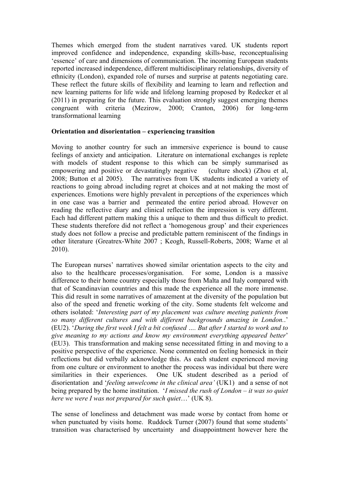Themes which emerged from the student narratives vared. UK students report improved confidence and independence, expanding skills-base, reconceptualising 'essence' of care and dimensions of communication. The incoming European students reported increased independence, different multidisciplinary relationships, diversity of ethnicity (London), expanded role of nurses and surprise at patents negotiating care. These reflect the future skills of flexibility and learning to learn and reflection and new learning patterns for life wide and lifelong learning proposed by Redecker et al (2011) in preparing for the future. This evaluation strongly suggest emerging themes congruent with criteria (Mezirow, 2000; Cranton, 2006) for long-term transformational learning

#### **Orientation and disorientation – experiencing transition**

Moving to another country for such an immersive experience is bound to cause feelings of anxiety and anticipation. Literature on international exchanges is replete with models of student response to this which can be simply summarised as empowering and positive or devastatingly negative (culture shock) (Zhou et al, 2008; Button et al 2005). The narratives from UK students indicated a variety of reactions to going abroad including regret at choices and at not making the most of experiences. Emotions were highly prevalent in perceptions of the experiences which in one case was a barrier and permeated the entire period abroad. However on reading the reflective diary and clinical reflection the impression is very different. Each had different pattern making this a unique to them and thus difficult to predict. These students therefore did not reflect a 'homogenous group' and their experiences study does not follow a precise and predictable pattern reminiscent of the findings in other literature (Greatrex-White 2007 ; Keogh, Russell-Roberts, 2008; Warne et al 2010).

The European nurses' narratives showed similar orientation aspects to the city and also to the healthcare processes/organisation. For some, London is a massive difference to their home country especially those from Malta and Italy compared with that of Scandinavian countries and this made the experience all the more immense. This did result in some narratives of amazement at the diversity of the population but also of the speed and frenetic working of the city. Some students felt welcome and others isolated: '*Interesting part of my placement was culture meeting patients from so many different cultures and with different backgrounds amazing in London.*.' (EU2). '*During the first week I felt a bit confused …. But after I started to work and to give meaning to my actions and know my environment everything appeared better*' (EU3). This transformation and making sense necessitated fitting in and moving to a positive perspective of the experience. None commented on feeling homesick in their reflections but did verbally acknowledge this. As each student experienced moving from one culture or environment to another the process was individual but there were similarities in their experiences. One UK student described as a period of disorientation and '*feeling unwelcome in the clinical area'* (UK1) and a sense of not being prepared by the home institution. '*I missed the rush of London – it was so quiet here we were I was not prepared for such quiet*…' (UK 8).

The sense of loneliness and detachment was made worse by contact from home or when punctuated by visits home. Ruddock Turner (2007) found that some students' transition was characterised by uncertainty and disappointment however here the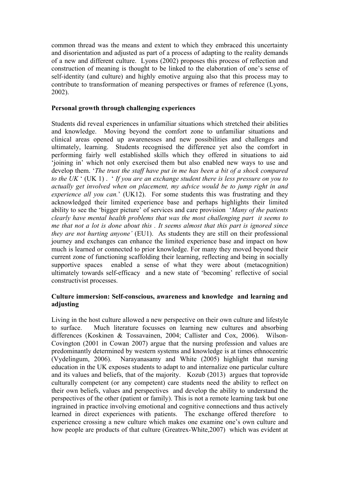common thread was the means and extent to which they embraced this uncertainty and disorientation and adjusted as part of a process of adapting to the reality demands of a new and different culture. Lyons (2002) proposes this process of reflection and construction of meaning is thought to be linked to the elaboration of one's sense of self-identity (and culture) and highly emotive arguing also that this process may to contribute to transformation of meaning perspectives or frames of reference (Lyons, 2002).

#### **Personal growth through challenging experiences**

Students did reveal experiences in unfamiliar situations which stretched their abilities and knowledge. Moving beyond the comfort zone to unfamiliar situations and clinical areas opened up awarenesses and new possibilities and challenges and ultimately, learning. Students recognised the difference yet also the comfort in performing fairly well established skills which they offered in situations to aid 'joining in' which not only exercised them but also enabled new ways to use and develop them. '*The trust the staff have put in me has been a bit of a shock compared to the UK* ' (UK 1) . ' *If you are an exchange student there is less pressure on you to actually get involved when on placement, my advice would be to jump right in and experience all you can.*' (UK12). For some students this was frustrating and they acknowledged their limited experience base and perhaps highlights their limited ability to see the 'bigger picture' of services and care provision '*Many of the patients clearly have mental health problems that was the most challenging part it seems to me that not a lot is done about this . It seems almost that this part is ignored since they are not hurting anyone'* (EU1). As students they are still on their professional journey and exchanges can enhance the limited experience base and impact on how much is learned or connected to prior knowledge. For many they moved beyond their current zone of functioning scaffolding their learning, reflecting and being in socially supportive spaces enabled a sense of what they were about (metacognition) ultimately towards self-efficacy and a new state of 'becoming' reflective of social constructivist processes.

## **Culture immersion: Self-conscious, awareness and knowledge and learning and adjusting**

Living in the host culture allowed a new perspective on their own culture and lifestyle to surface. Much literature focusses on learning new cultures and absorbing differences (Koskinen & Tossavainen, 2004; Callister and Cox, 2006). Wilson-Covington (2001 in Cowan 2007) argue that the nursing profession and values are predominantly determined by western systems and knowledge is at times ethnocentric (Vydelingum, 2006). Narayanasamy and White (2005) highlight that nursing education in the UK exposes students to adapt to and internalize one particular culture and its values and beliefs, that of the majority. Kozub (2013) argues that toprovide culturally competent (or any competent) care students need the ability to reflect on their own beliefs, values and perspectives and develop the ability to understand the perspectives of the other (patient or family). This is not a remote learning task but one ingrained in practice involving emotional and cognitive connections and thus actively learned in direct experiences with patients. The exchange offered therefore to experience crossing a new culture which makes one examine one's own culture and how people are products of that culture (Greatrex-White,2007) which was evident at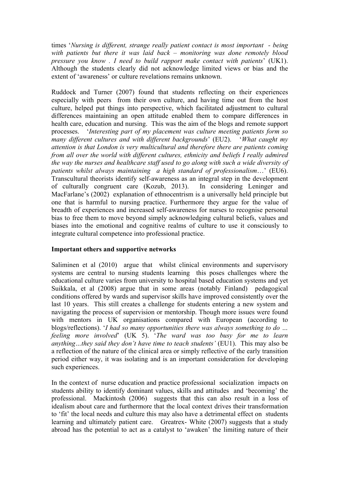times '*Nursing is different, strange really patient contact is most important - being with patients but there it was laid back – monitoring was done remotely blood pressure you know . I need to build rapport make contact with patients*' (UK1). Although the students clearly did not acknowledge limited views or bias and the extent of 'awareness' or culture revelations remains unknown.

Ruddock and Turner (2007) found that students reflecting on their experiences especially with peers from their own culture, and having time out from the host culture, helped put things into perspective, which facilitated adjustment to cultural differences maintaining an open attitude enabled them to compare differences in health care, education and nursing. This was the aim of the blogs and remote support processes. '*Interesting part of my placement was culture meeting patients form so many different cultures and with different backgrounds*' (EU2). '*What caught my attention is that London is very multicultural and therefore there are patients coming from all over the world with different cultures, ethnicity and beliefs I really admired the way the nurses and healthcare staff used to go along with such a wide diversity of patients whilst always maintaining a high standard of professionalism*…' (EU6). Transcultural theorists identify self-awareness as an integral step in the development of culturally congruent care (Kozub, 2013). In considering Leninger and MacFarlane's (2002) explanation of ethnocentrism is a universally held principle but one that is harmful to nursing practice. Furthermore they argue for the value of breadth of experiences and increased self-awareness for nurses to recognise personal bias to free them to move beyond simply acknowledging cultural beliefs, values and biases into the emotional and cognitive realms of culture to use it consciously to integrate cultural competence into professional practice.

#### **Important others and supportive networks**

Saliminen et al (2010) argue that whilst clinical environments and supervisory systems are central to nursing students learning this poses challenges where the educational culture varies from university to hospital based education systems and yet Suikkala, et al (2008) argue that in some areas (notably Finland) pedagogical conditions offered by wards and supervisor skills have improved consistently over the last 10 years. This still creates a challenge for students entering a new system and navigating the process of supervision or mentorship. Though more issues were found with mentors in UK organisations compared with European (according to blogs/reflections). '*I had so many opportunities there was always something to do … feeling more involved*' (UK 5). '*The ward was too busy for me to learn anything…they said they don't have time to teach students'* (EU1). This may also be a reflection of the nature of the clinical area or simply reflective of the early transition period either way, it was isolating and is an important consideration for developing such experiences.

In the context of nurse education and practice professional socialization impacts on students ability to identify dominant values, skills and attitudes and 'becoming' the professional. Mackintosh (2006) suggests that this can also result in a loss of idealism about care and furthermore that the local context drives their transformation to 'fit' the local needs and culture this may also have a detrimental effect on students learning and ultimately patient care. Greatrex- White (2007) suggests that a study abroad has the potential to act as a catalyst to 'awaken' the limiting nature of their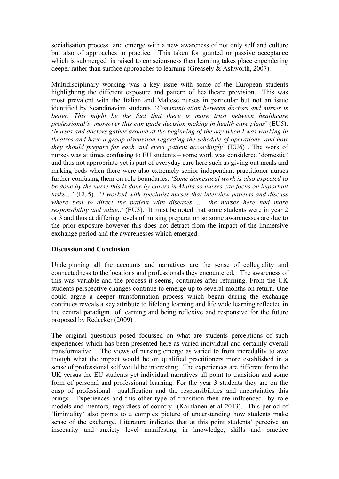socialisation process and emerge with a new awareness of not only self and culture but also of approaches to practice. This taken for granted or passive acceptance which is submerged is raised to consciousness then learning takes place engendering deeper rather than surface approaches to learning (Greasely & Ashworth, 2007).

Multidisciplinary working was a key issue with some of the European students highlighting the different exposure and pattern of healthcare provision. This was most prevalent with the Italian and Maltese nurses in particular but not an issue identified by Scandinavian students. '*Communication between doctors and nurses is*  better. This might be the fact that there is more trust between healthcare *professional's moreover this can guide decision making in health care plans*' (EU5). '*Nurses and doctors gather around at the beginning of the day when I was working in theatres and have a group discussion regarding the schedule of operations and how they should prepare for each and every patient accordingly*' (EU6) . The work of nurses was at times confusing to EU students – some work was considered 'domestic' and thus not appropriate yet is part of everyday care here such as giving out meals and making beds when there were also extremely senior independant practitioner nurses further confusing them on role boundaries. '*Some domestical work is also expected to be done by the nurse this is done by carers in Malta so nurses can focus on important tasks*…' (EU5). '*I worked with specialist nurses that interview patients and discuss where best to direct the patient with diseases …. the nurses here had more responsibility and value*..' (EU3). It must be noted that some students were in year 2 or 3 and thus at differing levels of nursing preparation so some awarenesses are due to the prior exposure however this does not detract from the impact of the immersive exchange period and the awarenesses which emerged.

## **Discussion and Conclusion**

Underpinning all the accounts and narratives are the sense of collegiality and connectedness to the locations and professionals they encountered. The awareness of this was variable and the process it seems, continues after returning. From the UK students perspective changes continue to emerge up to several months on return. One could argue a deeper transformation process which began during the exchange continues reveals a key attribute to lifelong learning and life wide learning reflected in the central paradigm of learning and being reflexive and responsive for the future proposed by Redecker (2009) .

The original questions posed focussed on what are students perceptions of such experiences which has been presented here as varied individual and certainly overall transformative. The views of nursing emerge as varied to from incredulity to awe though what the impact would be on qualified practitioners more established in a sense of professional self would be interesting. The experiences are different from the UK versus the EU students yet individual narratives all point to transition and some form of personal and professional learning. For the year 3 students they are on the cusp of professional qualification and the responsibilities and uncertainties this brings. Experiences and this other type of transition then are influenced by role models and mentors, regardless of country (Kaihlanen et al 2013). This period of 'liminiality' also points to a complex picture of understanding how students make sense of the exchange. Literature indicates that at this point students' perceive an insecurity and anxiety level manifesting in knowledge, skills and practice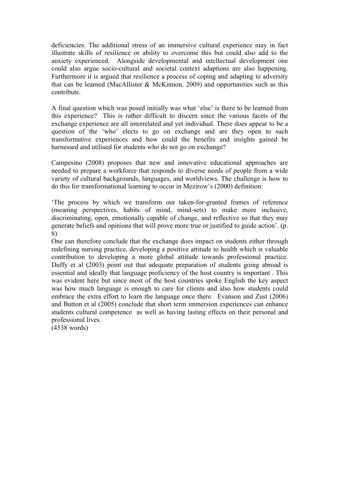deficiencies. The additional stress of an immersive cultural experience may in fact illustrate skills of resilience or ability to overcome this but could also add to the anxiety experienced. Alongside developmental and intellectual development one could also argue socio-cultural and societal context adaptions are also happening. Furthermore it is argued that resilience a process of coping and adapting to adversity that can be learned (MacAllister & McKinnon, 2009) and opportunities such as this contribute.

A final question which was posed initially was what 'else' is there to be learned from this experience? This is rather difficult to discern since the various facets of the exchange experience are all interrelated and yet individual. There does appear to be a question of the 'who' elects to go on exchange and are they open to such transformative experiences and how could the benefits and insights gained be harnessed and utilised for students who do not go on exchange?

Campesino (2008) proposes that new and innovative educational approaches are needed to prepare a workforce that responds to diverse needs of people from a wide variety of cultural backgrounds, languages, and worldviews. The challenge is how to do this for transformational learning to occur in Mezirow's (2000) definition:

'The process by which we transform our taken-for-granted frames of reference (meaning perspectives, habits of mind, mind-sets) to make more inclusive, discriminating, open, emotionally capable of change, and reflective so that they may generate beliefs and opinions that will prove more true or justified to guide action'. (p. 8)

One can therefore conclude that the exchange does impact on students either through redefining nursing practice, developing a positive attitude to health which is valuable contribution to developing a more global attitude towards professional practice. Duffy et al (2003) point out that adequate preparation of students going abroad is essential and ideally that language proficiency of the host country is important . This was evident here but since most of the host countries spoke English the key aspect was how much language is enough to care for clients and also how students could embrace the extra effort to learn the language once there. Evanson and Zust (2006) and Button et al (2005) conclude that short term immersion experiences can enhance students cultural competence as well as having lasting effects on their personal and professional lives.

(4538 words)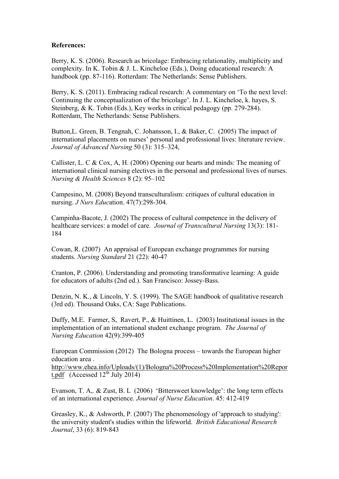#### **References:**

Berry, K. S. (2006). Research as bricolage: Embracing relationality, multiplicity and complexity. In K. Tobin & J. L. Kincheloe (Eds.), Doing educational research: A handbook (pp. 87-116). Rotterdam: The Netherlands: Sense Publishers.

Berry, K. S. (2011). Embracing radical research: A commentary on 'To the next level: Continuing the conceptualization of the bricolage'. In J. L. Kincheloe, k. hayes, S. Steinberg, & K. Tobin (Eds.), Key works in critical pedagogy (pp. 279-284). Rotterdam, The Netherlands: Sense Publishers.

Button,L. Green, B. Tengnah, C. Johansson, I., & Baker, C. (2005) The impact of international placements on nurses' personal and professional lives: literature review. *Journal of Advanced Nursing* 50 (3): 315–324,

Callister, L. C & Cox, A, H. (2006) Opening our hearts and minds: The meaning of international clinical nursing electives in the personal and professional lives of nurses. *Nursing & Health Sciences* 8 (2): 95–102

Campesino, M. (2008) Beyond transculturalism: critiques of cultural education in nursing. *J Nurs Educ*ation. 47(7):298-304.

Campinha-Bacote, J. (2002) The process of cultural competence in the delivery of healthcare services: a model of care*. Journal of Transcultural Nursing* 13(3): 181- 184

Cowan, R. (2007) An appraisal of European exchange programmes for nursing students. *Nursing Standard* 21 (22): 40-47

Cranton, P. (2006). Understanding and promoting transformative learning: A guide for educators of adults (2nd ed.). San Francisco: Jossey-Bass.

Denzin, N. K., & Lincoln, Y. S. (1999). The SAGE handbook of qualitative research (3rd ed). Thousand Oaks, CA: Sage Publications.

Duffy, M.E. Farmer, S, Ravert, P., & Huittinen, L. (2003) Institutional issues in the implementation of an international student exchange program. *The Journal of Nursing Education* 42(9):399-405

European Commission (2012) The Bologna process – towards the European higher education area .

http://www.ehea.info/Uploads/(1)/Bologna%20Process%20Implementation%20Repor t.pdf  $(Accessed 12<sup>th</sup> July 2014)$ 

Evanson, T. A,. & Zust, B. L (2006) 'Bittersweet knowledge': the long term effects of an international experience*. Journal of Nurse Education*. 45: 412-419

Greasley, K., & Ashworth, P. (2007) The phenomenology of 'approach to studying': the university student's studies within the lifeworld. *British Educational Research Journal*, 33 (6): 819-843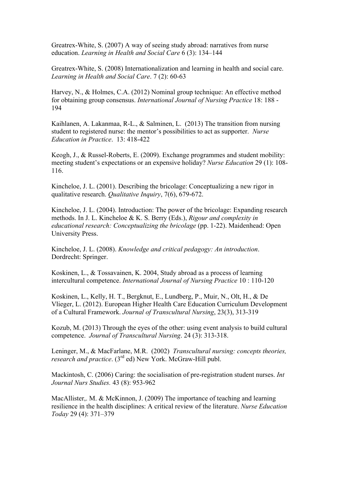Greatrex-White, S. (2007) A way of seeing study abroad: narratives from nurse education. *Learning in Health and Social Care* 6 (3): 134–144

Greatrex-White, S. (2008) Internationalization and learning in health and social care. *Learning in Health and Social Care*. 7 (2): 60-63

Harvey, N., & Holmes, C.A. (2012) Nominal group technique: An effective method for obtaining group consensus. *International Journal of Nursing Practice* 18: 188 - 194

Kaihlanen, A. Lakanmaa, R-L., & Salminen, L. (2013) The transition from nursing student to registered nurse: the mentor's possibilities to act as supporter. *Nurse Education in Practice*. 13: 418-422

Keogh, J., & Russel-Roberts, E. (2009). Exchange programmes and student mobility: meeting student's expectations or an expensive holiday? *Nurse Education* 29 (1): 108- 116.

Kincheloe, J. L. (2001). Describing the bricolage: Conceptualizing a new rigor in qualitative research. *Qualitative Inquiry*, 7(6), 679-672.

Kincheloe, J. L. (2004). Introduction: The power of the bricolage: Expanding research methods. In J. L. Kincheloe & K. S. Berry (Eds.), *Rigour and complexity in educational research: Conceptualizing the bricolage* (pp. 1-22). Maidenhead: Open University Press.

Kincheloe, J. L. (2008). *Knowledge and critical pedagogy: An introduction*. Dordrecht: Springer.

Koskinen, L., & Tossavainen, K. 2004, Study abroad as a process of learning intercultural competence. *International Journal of Nursing Practice* 10 : 110-120

Koskinen, L., Kelly, H. T., Bergknut, E., Lundberg, P., Muir, N., Olt, H., & De Vlieger, L. (2012). European Higher Health Care Education Curriculum Development of a Cultural Framework. *Journal of Transcultural Nursing*, 23(3), 313-319

Kozub, M. (2013) Through the eyes of the other: using event analysis to build cultural competence. *Journal of Transcultural Nursing*. 24 (3): 313-318.

Leninger, M., & MacFarlane, M.R. (2002) *Transcultural nursing: concepts theories, research and practice*. (3rd ed) New York. McGraw-Hill publ.

Mackintosh, C. (2006) Caring: the socialisation of pre-registration student nurses. *Int Journal Nurs Studies.* 43 (8): 953-962

MacAllister,. M. & McKinnon, J. (2009) The importance of teaching and learning resilience in the health disciplines: A critical review of the literature. *Nurse Education Today* 29 (4): 371–379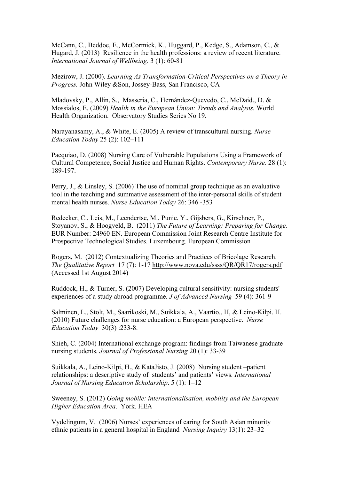McCann, C., Beddoe, E., McCormick, K., Huggard, P., Kedge, S., Adamson, C., & Hugard, J. (2013) Resilience in the health professions: a review of recent literature. *International Journal of Wellbeing*. 3 (1): 60-81

Mezirow, J. (2000). *Learning As Transformation-Critical Perspectives on a Theory in Progress.* John Wiley &Son, Jossey-Bass, San Francisco, CA

Mladovsky, P., Allin, S., Masseria, C., Hernández-Quevedo, C., McDaid., D. & Mossialos, E. (2009) *Health in the European Union: Trends and Analysis.* World Health Organization. Observatory Studies Series No 19.

Narayanasamy, A., & White, E. (2005) A review of transcultural nursing. *Nurse Education Today* 25 (2): 102–111

Pacquiao, D. (2008) Nursing Care of Vulnerable Populations Using a Framework of Cultural Competence, Social Justice and Human Rights. *Contemporary Nurse.* 28 (1): 189-197.

Perry, J., & Linsley, S. (2006) The use of nominal group technique as an evaluative tool in the teaching and summative assessment of the inter-personal skills of student mental health nurses. *Nurse Education Today* 26: 346 -353

Redecker, C., Leis, M., Leendertse, M., Punie, Y., Gijsbers, G., Kirschner, P., Stoyanov, S., & Hoogveld, B. (2011) *The Future of Learning: Preparing for Change.* EUR Number: 24960 EN. European Commission Joint Research Centre Institute for Prospective Technological Studies. Luxembourg. European Commission

Rogers, M. (2012) Contextualizing Theories and Practices of Bricolage Research. *The Qualitative Report* 17 (7): 1-17 http://www.nova.edu/ssss/QR/QR17/rogers.pdf (Accessed 1st August 2014)

Ruddock, H., & Turner, S. (2007) Developing cultural sensitivity: nursing students' experiences of a study abroad programme. *J of Advanced Nursing* 59 (4): 361-9

Salminen, L., Stolt, M., Saarikoski, M., Suikkala, A., Vaartio., H, & Leino-Kilpi. H. (2010) Future challenges for nurse education: a European perspective. *Nurse Education Today* 30(3) :233-8.

Shieh, C. (2004) International exchange program: findings from Taiwanese graduate nursing students*. Journal of Professional Nursing* 20 (1): 33-39

Suikkala, A., Leino-Kilpi, H., & KataJisto, J. (2008) Nursing student –patient relationships: a descriptive study of students' and patients' views*. International Journal of Nursing Education Scholarship*. 5 (1): 1–12

Sweeney, S. (2012) *Going mobile: internationalisation, mobility and the European Higher Education Area*. York. HEA

Vydelingum, V. (2006) Nurses' experiences of caring for South Asian minority ethnic patients in a general hospital in England *Nursing Inquiry* 13(1): 23–32